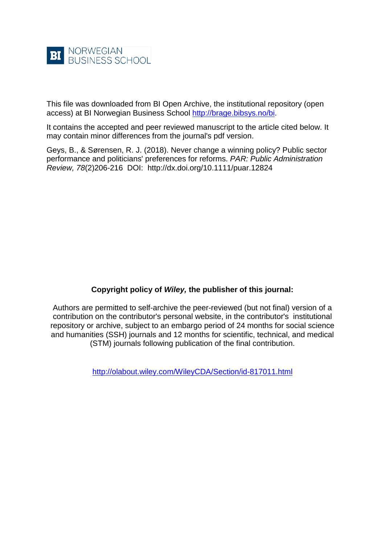

This file was downloaded from BI Open Archive, the institutional repository (open access) at BI Norwegian Business School [http://brage.bibsys.no/bi.](http://brage.bibsys.no/bi)

It contains the accepted and peer reviewed manuscript to the article cited below. It may contain minor differences from the journal's pdf version.

Geys, B., & Sørensen, R. J. (2018). Never change a winning policy? Public sector performance and politicians' preferences for reforms. *PAR: Public Administration Review, 78*(2)206-216 DOI: http://dx.doi.org/10.1111/puar.12824

# **Copyright policy of** *Wiley,* **the publisher of this journal:**

Authors are permitted to self-archive the peer-reviewed (but not final) version of a contribution on the contributor's personal website, in the contributor's institutional repository or archive, subject to an embargo period of 24 months for social science and humanities (SSH) journals and 12 months for scientific, technical, and medical (STM) journals following publication of the final contribution.

<http://olabout.wiley.com/WileyCDA/Section/id-817011.html>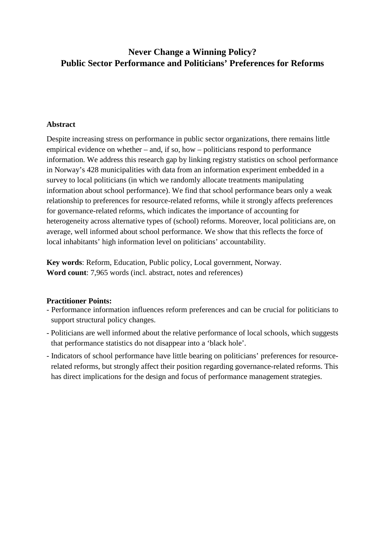# **Never Change a Winning Policy? Public Sector Performance and Politicians' Preferences for Reforms**

## **Abstract**

Despite increasing stress on performance in public sector organizations, there remains little empirical evidence on whether – and, if so, how – politicians respond to performance information. We address this research gap by linking registry statistics on school performance in Norway's 428 municipalities with data from an information experiment embedded in a survey to local politicians (in which we randomly allocate treatments manipulating information about school performance). We find that school performance bears only a weak relationship to preferences for resource-related reforms, while it strongly affects preferences for governance-related reforms, which indicates the importance of accounting for heterogeneity across alternative types of (school) reforms. Moreover, local politicians are, on average, well informed about school performance. We show that this reflects the force of local inhabitants' high information level on politicians' accountability.

**Key words**: Reform, Education, Public policy, Local government, Norway. **Word count**: 7,965 words (incl. abstract, notes and references)

## **Practitioner Points:**

- Performance information influences reform preferences and can be crucial for politicians to support structural policy changes.
- Politicians are well informed about the relative performance of local schools, which suggests that performance statistics do not disappear into a 'black hole'.
- Indicators of school performance have little bearing on politicians' preferences for resourcerelated reforms, but strongly affect their position regarding governance-related reforms. This has direct implications for the design and focus of performance management strategies.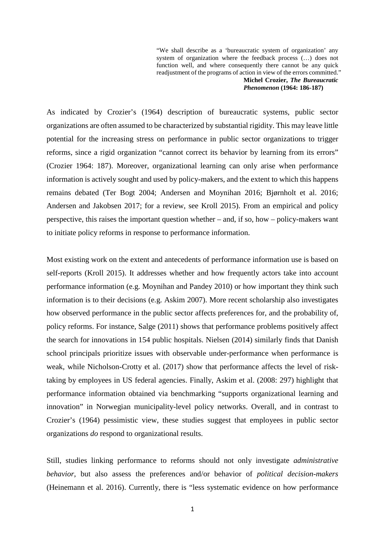"We shall describe as a 'bureaucratic system of organization' any system of organization where the feedback process (…) does not function well, and where consequently there cannot be any quick readjustment of the programs of action in view of the errors committed." **Michel Crozier,** *The Bureaucratic* 

*Phenomenon* **(1964: 186-187)**

As indicated by Crozier's (1964) description of bureaucratic systems, public sector organizations are often assumed to be characterized by substantial rigidity. This may leave little potential for the increasing stress on performance in public sector organizations to trigger reforms, since a rigid organization "cannot correct its behavior by learning from its errors" (Crozier 1964: 187). Moreover, organizational learning can only arise when performance information is actively sought and used by policy-makers, and the extent to which this happens remains debated (Ter Bogt 2004; Andersen and Moynihan 2016; Bjørnholt et al. 2016; Andersen and Jakobsen 2017; for a review, see Kroll 2015). From an empirical and policy perspective, this raises the important question whether – and, if so, how – policy-makers want to initiate policy reforms in response to performance information.

Most existing work on the extent and antecedents of performance information use is based on self-reports (Kroll 2015). It addresses whether and how frequently actors take into account performance information (e.g. Moynihan and Pandey 2010) or how important they think such information is to their decisions (e.g. Askim 2007). More recent scholarship also investigates how observed performance in the public sector affects preferences for, and the probability of, policy reforms. For instance, Salge (2011) shows that performance problems positively affect the search for innovations in 154 public hospitals. Nielsen (2014) similarly finds that Danish school principals prioritize issues with observable under-performance when performance is weak, while Nicholson-Crotty et al. (2017) show that performance affects the level of risktaking by employees in US federal agencies. Finally, Askim et al. (2008: 297) highlight that performance information obtained via benchmarking "supports organizational learning and innovation" in Norwegian municipality-level policy networks. Overall, and in contrast to Crozier's (1964) pessimistic view, these studies suggest that employees in public sector organizations *do* respond to organizational results.

Still, studies linking performance to reforms should not only investigate *administrative behavior*, but also assess the preferences and/or behavior of *political decision-makers* (Heinemann et al. 2016). Currently, there is "less systematic evidence on how performance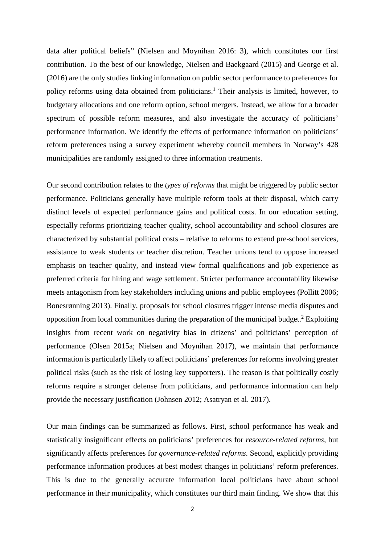data alter political beliefs" (Nielsen and Moynihan 2016: 3), which constitutes our first contribution. To the best of our knowledge, Nielsen and Baekgaard (2015) and George et al. (2016) are the only studies linking information on public sector performance to preferences for policy reforms using data obtained from politicians. <sup>1</sup> Their analysis is limited, however, to budgetary allocations and one reform option, school mergers. Instead, we allow for a broader spectrum of possible reform measures, and also investigate the accuracy of politicians' performance information. We identify the effects of performance information on politicians' reform preferences using a survey experiment whereby council members in Norway's 428 municipalities are randomly assigned to three information treatments.

Our second contribution relates to the *types of reforms* that might be triggered by public sector performance. Politicians generally have multiple reform tools at their disposal, which carry distinct levels of expected performance gains and political costs. In our education setting, especially reforms prioritizing teacher quality, school accountability and school closures are characterized by substantial political costs – relative to reforms to extend pre-school services, assistance to weak students or teacher discretion. Teacher unions tend to oppose increased emphasis on teacher quality, and instead view formal qualifications and job experience as preferred criteria for hiring and wage settlement. Stricter performance accountability likewise meets antagonism from key stakeholders including unions and public employees (Pollitt 2006; Bonesrønning 2013). Finally, proposals for school closures trigger intense media disputes and opposition from local communities during the preparation of the municipal budget. <sup>2</sup> Exploiting insights from recent work on negativity bias in citizens' and politicians' perception of performance (Olsen 2015a; Nielsen and Moynihan 2017), we maintain that performance information is particularly likely to affect politicians' preferences for reforms involving greater political risks (such as the risk of losing key supporters). The reason is that politically costly reforms require a stronger defense from politicians, and performance information can help provide the necessary justification (Johnsen 2012; Asatryan et al. 2017).

Our main findings can be summarized as follows. First, school performance has weak and statistically insignificant effects on politicians' preferences for *resource-related reforms*, but significantly affects preferences for *governance-related reforms*. Second, explicitly providing performance information produces at best modest changes in politicians' reform preferences. This is due to the generally accurate information local politicians have about school performance in their municipality, which constitutes our third main finding. We show that this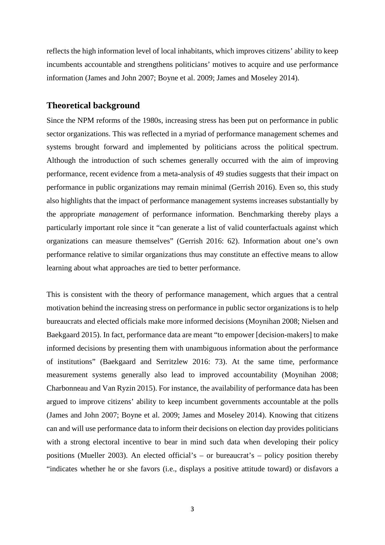reflects the high information level of local inhabitants, which improves citizens' ability to keep incumbents accountable and strengthens politicians' motives to acquire and use performance information (James and John 2007; Boyne et al. 2009; James and Moseley 2014).

### **Theoretical background**

Since the NPM reforms of the 1980s, increasing stress has been put on performance in public sector organizations. This was reflected in a myriad of performance management schemes and systems brought forward and implemented by politicians across the political spectrum. Although the introduction of such schemes generally occurred with the aim of improving performance, recent evidence from a meta-analysis of 49 studies suggests that their impact on performance in public organizations may remain minimal (Gerrish 2016). Even so, this study also highlights that the impact of performance management systems increases substantially by the appropriate *management* of performance information. Benchmarking thereby plays a particularly important role since it "can generate a list of valid counterfactuals against which organizations can measure themselves" (Gerrish 2016: 62). Information about one's own performance relative to similar organizations thus may constitute an effective means to allow learning about what approaches are tied to better performance.

This is consistent with the theory of performance management, which argues that a central motivation behind the increasing stress on performance in public sector organizations is to help bureaucrats and elected officials make more informed decisions (Moynihan 2008; Nielsen and Baekgaard 2015). In fact, performance data are meant "to empower [decision-makers] to make informed decisions by presenting them with unambiguous information about the performance of institutions" (Baekgaard and Serritzlew 2016: 73). At the same time, performance measurement systems generally also lead to improved accountability (Moynihan 2008; Charbonneau and Van Ryzin 2015). For instance, the availability of performance data has been argued to improve citizens' ability to keep incumbent governments accountable at the polls (James and John 2007; Boyne et al. 2009; James and Moseley 2014). Knowing that citizens can and will use performance data to inform their decisions on election day provides politicians with a strong electoral incentive to bear in mind such data when developing their policy positions (Mueller 2003). An elected official's – or bureaucrat's – policy position thereby "indicates whether he or she favors (i.e., displays a positive attitude toward) or disfavors a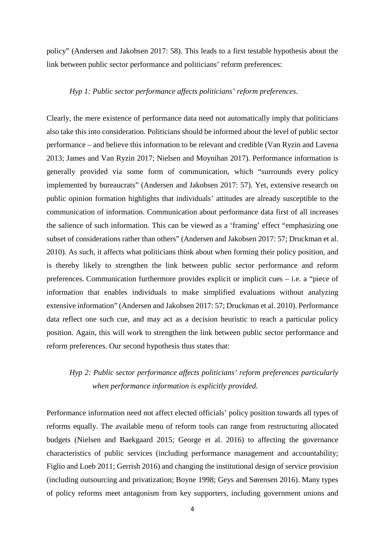policy" (Andersen and Jakobsen 2017: 58). This leads to a first testable hypothesis about the link between public sector performance and politicians' reform preferences:

#### *Hyp 1: Public sector performance affects politicians' reform preferences.*

Clearly, the mere existence of performance data need not automatically imply that politicians also take this into consideration. Politicians should be informed about the level of public sector performance – and believe this information to be relevant and credible (Van Ryzin and Lavena 2013; James and Van Ryzin 2017; Nielsen and Moynihan 2017). Performance information is generally provided via some form of communication, which "surrounds every policy implemented by bureaucrats" (Andersen and Jakobsen 2017: 57). Yet, extensive research on public opinion formation highlights that individuals' attitudes are already susceptible to the communication of information. Communication about performance data first of all increases the salience of such information. This can be viewed as a 'framing' effect "emphasizing one subset of considerations rather than others" (Andersen and Jakobsen 2017: 57; Druckman et al. 2010). As such, it affects what politicians think about when forming their policy position, and is thereby likely to strengthen the link between public sector performance and reform preferences. Communication furthermore provides explicit or implicit cues – i.e. a "piece of information that enables individuals to make simplified evaluations without analyzing extensive information" (Andersen and Jakobsen 2017: 57; Druckman et al. 2010). Performance data reflect one such cue, and may act as a decision heuristic to reach a particular policy position. Again, this will work to strengthen the link between public sector performance and reform preferences. Our second hypothesis thus states that:

# *Hyp 2: Public sector performance affects politicians' reform preferences particularly when performance information is explicitly provided.*

Performance information need not affect elected officials' policy position towards all types of reforms equally. The available menu of reform tools can range from restructuring allocated budgets (Nielsen and Baekgaard 2015; George et al. 2016) to affecting the governance characteristics of public services (including performance management and accountability; Figlio and Loeb 2011; Gerrish 2016) and changing the institutional design of service provision (including outsourcing and privatization; Boyne 1998; Geys and Sørensen 2016). Many types of policy reforms meet antagonism from key supporters, including government unions and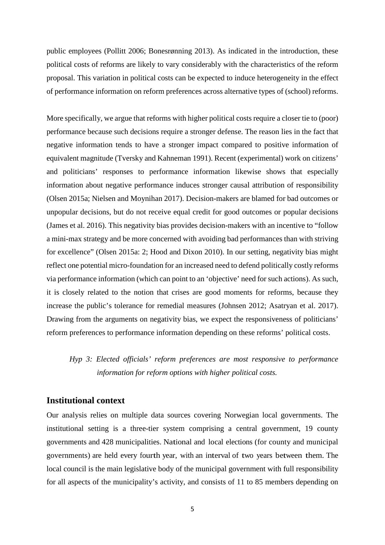public employees (Pollitt 2006; Bonesrønning 2013). As indicated in the introduction, these political costs of reforms are likely to vary considerably with the characteristics of the reform proposal. This variation in political costs can be expected to induce heterogeneity in the effect of performance information on reform preferences across alternative types of (school) reforms.

More specifically, we argue that reforms with higher political costs require a closer tie to (poor) performance because such decisions require a stronger defense. The reason lies in the fact that negative information tends to have a stronger impact compared to positive information of equivalent magnitude (Tversky and Kahneman 1991). Recent (experimental) work on citizens' and politicians' responses to performance information likewise shows that especially information about negative performance induces stronger causal attribution of responsibility (Olsen 2015a; Nielsen and Moynihan 2017). Decision-makers are blamed for bad outcomes or unpopular decisions, but do not receive equal credit for good outcomes or popular decisions (James et al. 2016). This negativity bias provides decision-makers with an incentive to "follow a mini-max strategy and be more concerned with avoiding bad performances than with striving for excellence" (Olsen 2015a: 2; Hood and Dixon 2010). In our setting, negativity bias might reflect one potential micro-foundation for an increased need to defend politically costly reforms via performance information (which can point to an 'objective' need for such actions). As such, it is closely related to the notion that crises are good moments for reforms, because they increase the public's tolerance for remedial measures (Johnsen 2012; Asatryan et al. 2017). Drawing from the arguments on negativity bias, we expect the responsiveness of politicians' reform preferences to performance information depending on these reforms' political costs.

*Hyp 3: Elected officials' reform preferences are most responsive to performance information for reform options with higher political costs.*

# **Institutional context**

Our analysis relies on multiple data sources covering Norwegian local governments. The institutional setting is a three-tier system comprising a central government, 19 county governments and 428 municipalities. National and local elections (for county and municipal governments) are held every fourth year, with an interval of two years between them. The local council is the main legislative body of the municipal government with full responsibility for all aspects of the municipality's activity, and consists of 11 to 85 members depending on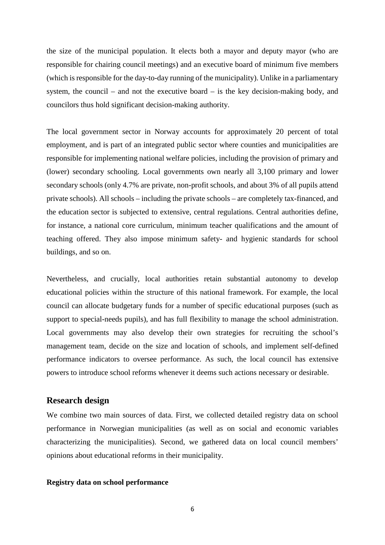the size of the municipal population. It elects both a mayor and deputy mayor (who are responsible for chairing council meetings) and an executive board of minimum five members (which is responsible for the day-to-day running of the municipality). Unlike in a parliamentary system, the council – and not the executive board – is the key decision-making body, and councilors thus hold significant decision-making authority.

The local government sector in Norway accounts for approximately 20 percent of total employment, and is part of an integrated public sector where counties and municipalities are responsible for implementing national welfare policies, including the provision of primary and (lower) secondary schooling. Local governments own nearly all 3,100 primary and lower secondary schools (only 4.7% are private, non-profit schools, and about 3% of all pupils attend private schools). All schools – including the private schools – are completely tax-financed, and the education sector is subjected to extensive, central regulations. Central authorities define, for instance, a national core curriculum, minimum teacher qualifications and the amount of teaching offered. They also impose minimum safety- and hygienic standards for school buildings, and so on.

Nevertheless, and crucially, local authorities retain substantial autonomy to develop educational policies within the structure of this national framework. For example, the local council can allocate budgetary funds for a number of specific educational purposes (such as support to special-needs pupils), and has full flexibility to manage the school administration. Local governments may also develop their own strategies for recruiting the school's management team, decide on the size and location of schools, and implement self-defined performance indicators to oversee performance. As such, the local council has extensive powers to introduce school reforms whenever it deems such actions necessary or desirable.

# **Research design**

We combine two main sources of data. First, we collected detailed registry data on school performance in Norwegian municipalities (as well as on social and economic variables characterizing the municipalities). Second, we gathered data on local council members' opinions about educational reforms in their municipality.

#### **Registry data on school performance**

6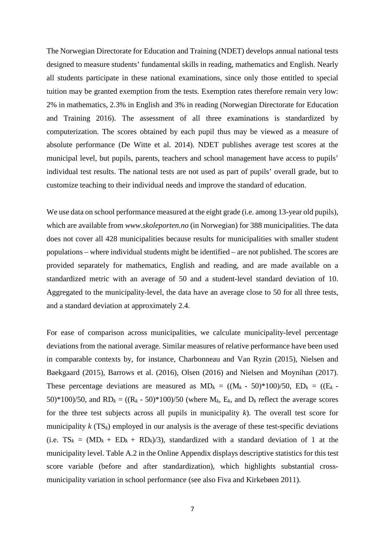The Norwegian Directorate for Education and Training (NDET) develops annual national tests designed to measure students' fundamental skills in reading, mathematics and English. Nearly all students participate in these national examinations, since only those entitled to special tuition may be granted exemption from the tests. Exemption rates therefore remain very low: 2% in mathematics, 2.3% in English and 3% in reading (Norwegian Directorate for Education and Training 2016). The assessment of all three examinations is standardized by computerization. The scores obtained by each pupil thus may be viewed as a measure of absolute performance (De Witte et al. 2014). NDET publishes average test scores at the municipal level, but pupils, parents, teachers and school management have access to pupils' individual test results. The national tests are not used as part of pupils' overall grade, but to customize teaching to their individual needs and improve the standard of education.

We use data on school performance measured at the eight grade (i.e. among 13-year old pupils), which are available from *www.skoleporten.no* (in Norwegian) for 388 municipalities. The data does not cover all 428 municipalities because results for municipalities with smaller student populations – where individual students might be identified – are not published. The scores are provided separately for mathematics, English and reading, and are made available on a standardized metric with an average of 50 and a student-level standard deviation of 10. Aggregated to the municipality-level, the data have an average close to 50 for all three tests, and a standard deviation at approximately 2.4.

For ease of comparison across municipalities, we calculate municipality-level percentage deviations from the national average. Similar measures of relative performance have been used in comparable contexts by, for instance, Charbonneau and Van Ryzin (2015), Nielsen and Baekgaard (2015), Barrows et al. (2016), Olsen (2016) and Nielsen and Moynihan (2017). These percentage deviations are measured as  $MD_k = ((M_k - 50)^*100)/50$ ,  $ED_k = ((E_k -$ 50)\*100)/50, and  $RD_k = ((R_k - 50) * 100) / 50$  (where  $M_k$ ,  $E_k$ , and  $D_k$  reflect the average scores for the three test subjects across all pupils in municipality *k*). The overall test score for municipality  $k$  (TS<sub>k</sub>) employed in our analysis is the average of these test-specific deviations (i.e.  $TS_k = (MD_k + ED_k + RD_k)/3$ ), standardized with a standard deviation of 1 at the municipality level. Table A.2 in the Online Appendix displays descriptive statistics for this test score variable (before and after standardization), which highlights substantial crossmunicipality variation in school performance (see also Fiva and Kirkebøen 2011).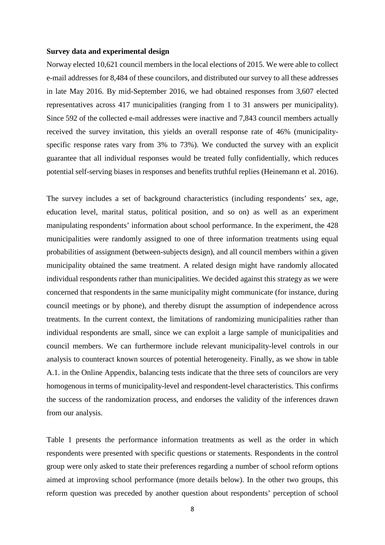#### **Survey data and experimental design**

Norway elected 10,621 council members in the local elections of 2015. We were able to collect e-mail addresses for 8,484 of these councilors, and distributed our survey to all these addresses in late May 2016. By mid-September 2016, we had obtained responses from 3,607 elected representatives across 417 municipalities (ranging from 1 to 31 answers per municipality). Since 592 of the collected e-mail addresses were inactive and 7,843 council members actually received the survey invitation, this yields an overall response rate of 46% (municipalityspecific response rates vary from 3% to 73%). We conducted the survey with an explicit guarantee that all individual responses would be treated fully confidentially, which reduces potential self-serving biases in responses and benefits truthful replies (Heinemann et al. 2016).

The survey includes a set of background characteristics (including respondents' sex, age, education level, marital status, political position, and so on) as well as an experiment manipulating respondents' information about school performance. In the experiment, the 428 municipalities were randomly assigned to one of three information treatments using equal probabilities of assignment (between-subjects design), and all council members within a given municipality obtained the same treatment. A related design might have randomly allocated individual respondents rather than municipalities. We decided against this strategy as we were concerned that respondents in the same municipality might communicate (for instance, during council meetings or by phone), and thereby disrupt the assumption of independence across treatments. In the current context, the limitations of randomizing municipalities rather than individual respondents are small, since we can exploit a large sample of municipalities and council members. We can furthermore include relevant municipality-level controls in our analysis to counteract known sources of potential heterogeneity. Finally, as we show in table A.1. in the Online Appendix, balancing tests indicate that the three sets of councilors are very homogenous in terms of municipality-level and respondent-level characteristics. This confirms the success of the randomization process, and endorses the validity of the inferences drawn from our analysis.

Table 1 presents the performance information treatments as well as the order in which respondents were presented with specific questions or statements. Respondents in the control group were only asked to state their preferences regarding a number of school reform options aimed at improving school performance (more details below). In the other two groups, this reform question was preceded by another question about respondents' perception of school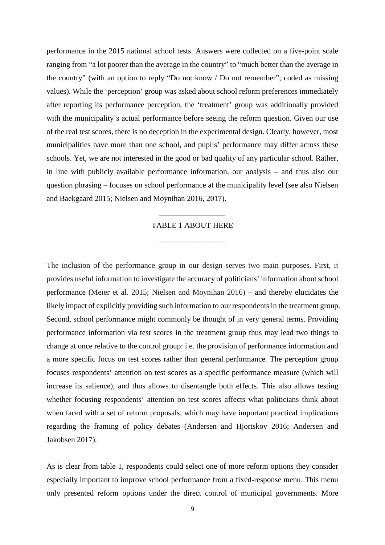performance in the 2015 national school tests. Answers were collected on a five-point scale ranging from "a lot poorer than the average in the country" to "much better than the average in the country" (with an option to reply "Do not know / Do not remember"; coded as missing values). While the 'perception' group was asked about school reform preferences immediately after reporting its performance perception, the 'treatment' group was additionally provided with the municipality's actual performance before seeing the reform question. Given our use of the real test scores, there is no deception in the experimental design. Clearly, however, most municipalities have more than one school, and pupils' performance may differ across these schools. Yet, we are not interested in the good or bad quality of any particular school. Rather, in line with publicly available performance information, our analysis – and thus also our question phrasing – focuses on school performance at the municipality level (see also Nielsen and Baekgaard 2015; Nielsen and Moynihan 2016, 2017).

## TABLE 1 ABOUT HERE

\_\_\_\_\_\_\_\_\_\_\_\_\_\_\_\_\_

\_\_\_\_\_\_\_\_\_\_\_\_\_\_\_\_\_

The inclusion of the performance group in our design serves two main purposes. First, it provides useful information to investigate the accuracy of politicians' information about school performance (Meier et al. 2015; Nielsen and Moynihan 2016) – and thereby elucidates the likely impact of explicitly providing such information to our respondents in the treatment group. Second, school performance might commonly be thought of in very general terms. Providing performance information via test scores in the treatment group thus may lead two things to change at once relative to the control group: i.e. the provision of performance information and a more specific focus on test scores rather than general performance. The perception group focuses respondents' attention on test scores as a specific performance measure (which will increase its salience), and thus allows to disentangle both effects. This also allows testing whether focusing respondents' attention on test scores affects what politicians think about when faced with a set of reform proposals, which may have important practical implications regarding the framing of policy debates (Andersen and Hjortskov 2016; Andersen and Jakobsen 2017).

As is clear from table 1, respondents could select one of more reform options they consider especially important to improve school performance from a fixed-response menu. This menu only presented reform options under the direct control of municipal governments. More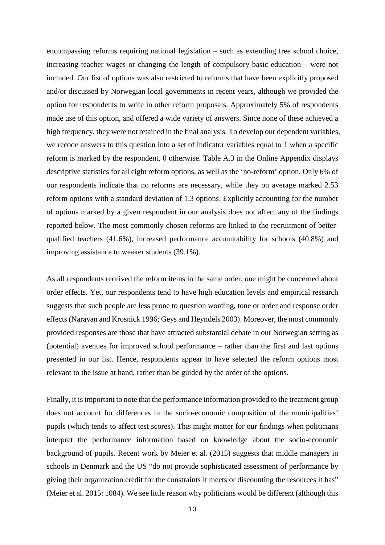encompassing reforms requiring national legislation – such as extending free school choice, increasing teacher wages or changing the length of compulsory basic education – were not included. Our list of options was also restricted to reforms that have been explicitly proposed and/or discussed by Norwegian local governments in recent years, although we provided the option for respondents to write in other reform proposals. Approximately 5% of respondents made use of this option, and offered a wide variety of answers. Since none of these achieved a high frequency, they were not retained in the final analysis. To develop our dependent variables, we recode answers to this question into a set of indicator variables equal to 1 when a specific reform is marked by the respondent, 0 otherwise. Table A.3 in the Online Appendix displays descriptive statistics for all eight reform options, as well as the 'no-reform' option. Only 6% of our respondents indicate that no reforms are necessary, while they on average marked 2.53 reform options with a standard deviation of 1.3 options. Explicitly accounting for the number of options marked by a given respondent in our analysis does not affect any of the findings reported below. The most commonly chosen reforms are linked to the recruitment of betterqualified teachers (41.6%), increased performance accountability for schools (40.8%) and improving assistance to weaker students (39.1%).

As all respondents received the reform items in the same order, one might be concerned about order effects. Yet, our respondents tend to have high education levels and empirical research suggests that such people are less prone to question wording, tone or order and response order effects (Narayan and Krosnick 1996; Geys and Heyndels 2003). Moreover, the most commonly provided responses are those that have attracted substantial debate in our Norwegian setting as (potential) avenues for improved school performance – rather than the first and last options presented in our list. Hence, respondents appear to have selected the reform options most relevant to the issue at hand, rather than be guided by the order of the options.

Finally, it is important to note that the performance information provided to the treatment group does not account for differences in the socio-economic composition of the municipalities' pupils (which tends to affect test scores). This might matter for our findings when politicians interpret the performance information based on knowledge about the socio-economic background of pupils. Recent work by Meier et al. (2015) suggests that middle managers in schools in Denmark and the US "do not provide sophisticated assessment of performance by giving their organization credit for the constraints it meets or discounting the resources it has" (Meier et al. 2015: 1084). We see little reason why politicians would be different (although this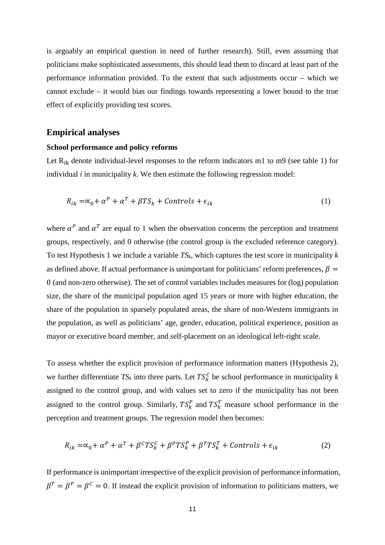is arguably an empirical question in need of further research). Still, even assuming that politicians make sophisticated assessments, this should lead them to discard at least part of the performance information provided. To the extent that such adjustments occur – which we cannot exclude – it would bias our findings towards representing a lower bound to the true effect of explicitly providing test scores.

### **Empirical analyses**

#### **School performance and policy reforms**

Let  $R_{ik}$  denote individual-level responses to the reform indicators m1 to m9 (see table 1) for individual *i* in municipality *k*. We then estimate the following regression model:

$$
R_{ik} = \alpha_0 + \alpha^P + \alpha^T + \beta TS_k + \text{Contents} + \epsilon_{ik} \tag{1}
$$

where  $\alpha^P$  and  $\alpha^T$  are equal to 1 when the observation concerns the perception and treatment groups, respectively, and 0 otherwise (the control group is the excluded reference category). To test Hypothesis 1 we include a variable *TSk*, which captures the test score in municipality *k* as defined above. If actual performance is unimportant for politicians' reform preferences,  $\beta$  = 0 (and non-zero otherwise). The set of control variables includes measures for (log) population size, the share of the municipal population aged 15 years or more with higher education, the share of the population in sparsely populated areas, the share of non-Western immigrants in the population, as well as politicians' age, gender, education, political experience, position as mayor or executive board member, and self-placement on an ideological left-right scale.

To assess whether the explicit provision of performance information matters (Hypothesis 2), we further differentiate  $TS_k$  into three parts. Let  $TS_k^C$  be school performance in municipality *k* assigned to the control group, and with values set to zero if the municipality has not been assigned to the control group. Similarly,  $TS_k^P$  and  $TS_k^T$  measure school performance in the perception and treatment groups. The regression model then becomes:

$$
R_{ik} = \alpha_0 + \alpha^P + \alpha^T + \beta^C T S_k^C + \beta^P T S_k^P + \beta^T T S_k^T + \text{Controls} + \epsilon_{ik} \tag{2}
$$

If performance is unimportant irrespective of the explicit provision of performance information,  $\beta^T = \beta^P = \beta^C = 0$ . If instead the explicit provision of information to politicians matters, we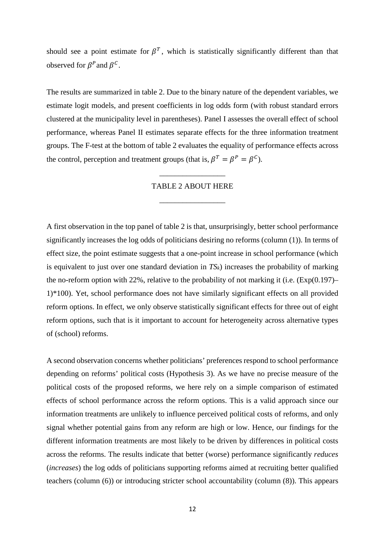should see a point estimate for  $\beta^T$ , which is statistically significantly different than that observed for  $\beta^P$  and  $\beta^C$ .

The results are summarized in table 2. Due to the binary nature of the dependent variables, we estimate logit models, and present coefficients in log odds form (with robust standard errors clustered at the municipality level in parentheses). Panel I assesses the overall effect of school performance, whereas Panel II estimates separate effects for the three information treatment groups. The F-test at the bottom of table 2 evaluates the equality of performance effects across the control, perception and treatment groups (that is,  $\beta^T = \beta^P = \beta^C$ ).

#### TABLE 2 ABOUT HERE

\_\_\_\_\_\_\_\_\_\_\_\_\_\_\_\_\_

\_\_\_\_\_\_\_\_\_\_\_\_\_\_\_\_\_

A first observation in the top panel of table 2 is that, unsurprisingly, better school performance significantly increases the log odds of politicians desiring no reforms (column (1)). In terms of effect size, the point estimate suggests that a one-point increase in school performance (which is equivalent to just over one standard deviation in  $TS_k$ ) increases the probability of marking the no-reform option with 22%, relative to the probability of not marking it (i.e.  $(\text{Exp}(0.197) -$ 1)\*100). Yet, school performance does not have similarly significant effects on all provided reform options. In effect, we only observe statistically significant effects for three out of eight reform options, such that is it important to account for heterogeneity across alternative types of (school) reforms.

A second observation concerns whether politicians' preferences respond to school performance depending on reforms' political costs (Hypothesis 3). As we have no precise measure of the political costs of the proposed reforms, we here rely on a simple comparison of estimated effects of school performance across the reform options. This is a valid approach since our information treatments are unlikely to influence perceived political costs of reforms, and only signal whether potential gains from any reform are high or low. Hence, our findings for the different information treatments are most likely to be driven by differences in political costs across the reforms. The results indicate that better (worse) performance significantly *reduces* (*increases*) the log odds of politicians supporting reforms aimed at recruiting better qualified teachers (column (6)) or introducing stricter school accountability (column (8)). This appears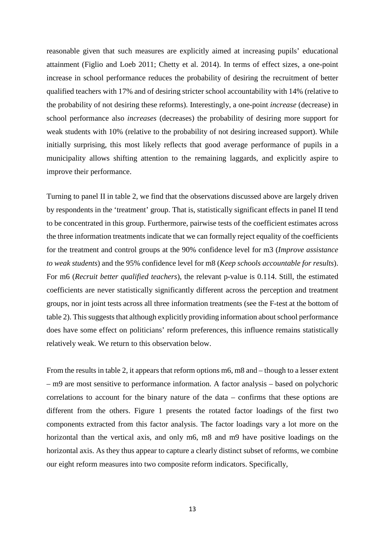reasonable given that such measures are explicitly aimed at increasing pupils' educational attainment (Figlio and Loeb 2011; Chetty et al. 2014). In terms of effect sizes, a one-point increase in school performance reduces the probability of desiring the recruitment of better qualified teachers with 17% and of desiring stricter school accountability with 14% (relative to the probability of not desiring these reforms). Interestingly, a one-point *increase* (decrease) in school performance also *increases* (decreases) the probability of desiring more support for weak students with 10% (relative to the probability of not desiring increased support). While initially surprising, this most likely reflects that good average performance of pupils in a municipality allows shifting attention to the remaining laggards, and explicitly aspire to improve their performance.

Turning to panel II in table 2, we find that the observations discussed above are largely driven by respondents in the 'treatment' group. That is, statistically significant effects in panel II tend to be concentrated in this group. Furthermore, pairwise tests of the coefficient estimates across the three information treatments indicate that we can formally reject equality of the coefficients for the treatment and control groups at the 90% confidence level for m3 (*Improve assistance to weak students*) and the 95% confidence level for m8 (*Keep schools accountable for results*). For m6 (*Recruit better qualified teachers*), the relevant p-value is 0.114. Still, the estimated coefficients are never statistically significantly different across the perception and treatment groups, nor in joint tests across all three information treatments (see the F-test at the bottom of table 2). This suggests that although explicitly providing information about school performance does have some effect on politicians' reform preferences, this influence remains statistically relatively weak. We return to this observation below.

From the results in table 2, it appears that reform options m6, m8 and – though to a lesser extent – m9 are most sensitive to performance information. A factor analysis – based on polychoric correlations to account for the binary nature of the data – confirms that these options are different from the others. Figure 1 presents the rotated factor loadings of the first two components extracted from this factor analysis. The factor loadings vary a lot more on the horizontal than the vertical axis, and only m6, m8 and m9 have positive loadings on the horizontal axis. As they thus appear to capture a clearly distinct subset of reforms, we combine our eight reform measures into two composite reform indicators. Specifically,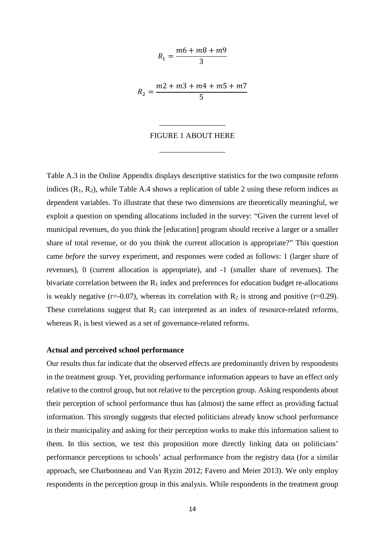$$
R_1 = \frac{m6 + m8 + m9}{3}
$$

$$
R_2 = \frac{m2 + m3 + m4 + m5 + m7}{5}
$$

#### FIGURE 1 ABOUT HERE

\_\_\_\_\_\_\_\_\_\_\_\_\_\_\_\_\_

\_\_\_\_\_\_\_\_\_\_\_\_\_\_\_\_\_

Table A.3 in the Online Appendix displays descriptive statistics for the two composite reform indices  $(R_1, R_2)$ , while Table A.4 shows a replication of table 2 using these reform indices as dependent variables. To illustrate that these two dimensions are theoretically meaningful, we exploit a question on spending allocations included in the survey: "Given the current level of municipal revenues, do you think the [education] program should receive a larger or a smaller share of total revenue, or do you think the current allocation is appropriate?" This question came *before* the survey experiment, and responses were coded as follows: 1 (larger share of revenues), 0 (current allocation is appropriate), and -1 (smaller share of revenues). The bivariate correlation between the  $R_1$  index and preferences for education budget re-allocations is weakly negative (r=-0.07), whereas its correlation with  $R_2$  is strong and positive (r=0.29). These correlations suggest that  $R_2$  can interpreted as an index of resource-related reforms, whereas  $R_1$  is best viewed as a set of governance-related reforms.

#### **Actual and perceived school performance**

Our results thus far indicate that the observed effects are predominantly driven by respondents in the treatment group. Yet, providing performance information appears to have an effect only relative to the control group, but not relative to the perception group. Asking respondents about their perception of school performance thus has (almost) the same effect as providing factual information. This strongly suggests that elected politicians already know school performance in their municipality and asking for their perception works to make this information salient to them. In this section, we test this proposition more directly linking data on politicians' performance perceptions to schools' actual performance from the registry data (for a similar approach, see Charbonneau and Van Ryzin 2012; Favero and Meier 2013). We only employ respondents in the perception group in this analysis. While respondents in the treatment group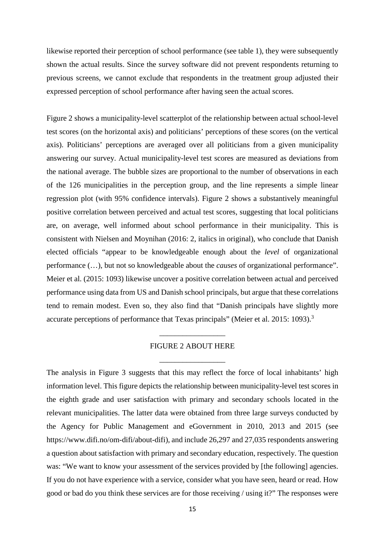likewise reported their perception of school performance (see table 1), they were subsequently shown the actual results. Since the survey software did not prevent respondents returning to previous screens, we cannot exclude that respondents in the treatment group adjusted their expressed perception of school performance after having seen the actual scores.

Figure 2 shows a municipality-level scatterplot of the relationship between actual school-level test scores (on the horizontal axis) and politicians' perceptions of these scores (on the vertical axis). Politicians' perceptions are averaged over all politicians from a given municipality answering our survey. Actual municipality-level test scores are measured as deviations from the national average. The bubble sizes are proportional to the number of observations in each of the 126 municipalities in the perception group, and the line represents a simple linear regression plot (with 95% confidence intervals). Figure 2 shows a substantively meaningful positive correlation between perceived and actual test scores, suggesting that local politicians are, on average, well informed about school performance in their municipality. This is consistent with Nielsen and Moynihan (2016: 2, italics in original), who conclude that Danish elected officials "appear to be knowledgeable enough about the *level* of organizational performance (…), but not so knowledgeable about the *causes* of organizational performance". Meier et al. (2015: 1093) likewise uncover a positive correlation between actual and perceived performance using data from US and Danish school principals, but argue that these correlations tend to remain modest. Even so, they also find that "Danish principals have slightly more accurate perceptions of performance that Texas principals" (Meier et al. 2015: 1093).<sup>3</sup>

### FIGURE 2 ABOUT HERE

\_\_\_\_\_\_\_\_\_\_\_\_\_\_\_\_\_

\_\_\_\_\_\_\_\_\_\_\_\_\_\_\_\_\_

The analysis in Figure 3 suggests that this may reflect the force of local inhabitants' high information level. This figure depicts the relationship between municipality-level test scores in the eighth grade and user satisfaction with primary and secondary schools located in the relevant municipalities. The latter data were obtained from three large surveys conducted by the Agency for Public Management and eGovernment in 2010, 2013 and 2015 (see https://www.difi.no/om-difi/about-difi), and include 26,297 and 27,035 respondents answering a question about satisfaction with primary and secondary education, respectively. The question was: "We want to know your assessment of the services provided by [the following] agencies. If you do not have experience with a service, consider what you have seen, heard or read. How good or bad do you think these services are for those receiving / using it?" The responses were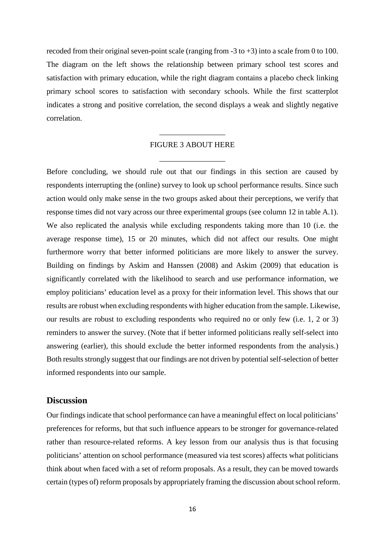recoded from their original seven-point scale (ranging from  $-3$  to  $+3$ ) into a scale from 0 to 100. The diagram on the left shows the relationship between primary school test scores and satisfaction with primary education, while the right diagram contains a placebo check linking primary school scores to satisfaction with secondary schools. While the first scatterplot indicates a strong and positive correlation, the second displays a weak and slightly negative correlation.

### FIGURE 3 ABOUT HERE

\_\_\_\_\_\_\_\_\_\_\_\_\_\_\_\_\_

\_\_\_\_\_\_\_\_\_\_\_\_\_\_\_\_\_

Before concluding, we should rule out that our findings in this section are caused by respondents interrupting the (online) survey to look up school performance results. Since such action would only make sense in the two groups asked about their perceptions, we verify that response times did not vary across our three experimental groups (see column 12 in table A.1). We also replicated the analysis while excluding respondents taking more than 10 (i.e. the average response time), 15 or 20 minutes, which did not affect our results. One might furthermore worry that better informed politicians are more likely to answer the survey. Building on findings by Askim and Hanssen (2008) and Askim (2009) that education is significantly correlated with the likelihood to search and use performance information, we employ politicians' education level as a proxy for their information level. This shows that our results are robust when excluding respondents with higher education from the sample. Likewise, our results are robust to excluding respondents who required no or only few (i.e. 1, 2 or 3) reminders to answer the survey. (Note that if better informed politicians really self-select into answering (earlier), this should exclude the better informed respondents from the analysis.) Both results strongly suggest that our findings are not driven by potential self-selection of better informed respondents into our sample.

## **Discussion**

Our findings indicate that school performance can have a meaningful effect on local politicians' preferences for reforms, but that such influence appears to be stronger for governance-related rather than resource-related reforms. A key lesson from our analysis thus is that focusing politicians' attention on school performance (measured via test scores) affects what politicians think about when faced with a set of reform proposals. As a result, they can be moved towards certain (types of) reform proposals by appropriately framing the discussion about school reform.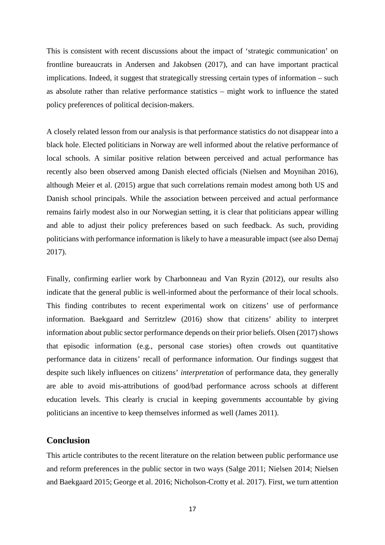This is consistent with recent discussions about the impact of 'strategic communication' on frontline bureaucrats in Andersen and Jakobsen (2017), and can have important practical implications. Indeed, it suggest that strategically stressing certain types of information – such as absolute rather than relative performance statistics – might work to influence the stated policy preferences of political decision-makers.

A closely related lesson from our analysis is that performance statistics do not disappear into a black hole. Elected politicians in Norway are well informed about the relative performance of local schools. A similar positive relation between perceived and actual performance has recently also been observed among Danish elected officials (Nielsen and Moynihan 2016), although Meier et al. (2015) argue that such correlations remain modest among both US and Danish school principals. While the association between perceived and actual performance remains fairly modest also in our Norwegian setting, it is clear that politicians appear willing and able to adjust their policy preferences based on such feedback. As such, providing politicians with performance information is likely to have a measurable impact (see also Demaj 2017).

Finally, confirming earlier work by Charbonneau and Van Ryzin (2012), our results also indicate that the general public is well-informed about the performance of their local schools. This finding contributes to recent experimental work on citizens' use of performance information. Baekgaard and Serritzlew (2016) show that citizens' ability to interpret information about public sector performance depends on their prior beliefs. Olsen (2017) shows that episodic information (e.g., personal case stories) often crowds out quantitative performance data in citizens' recall of performance information. Our findings suggest that despite such likely influences on citizens' *interpretation* of performance data, they generally are able to avoid mis-attributions of good/bad performance across schools at different education levels. This clearly is crucial in keeping governments accountable by giving politicians an incentive to keep themselves informed as well (James 2011).

## **Conclusion**

This article contributes to the recent literature on the relation between public performance use and reform preferences in the public sector in two ways (Salge 2011; Nielsen 2014; Nielsen and Baekgaard 2015; George et al. 2016; Nicholson-Crotty et al. 2017). First, we turn attention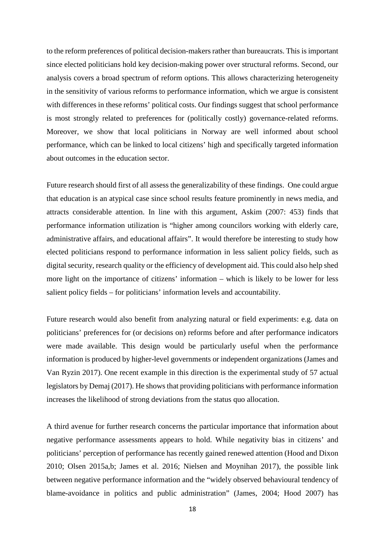to the reform preferences of political decision-makers rather than bureaucrats. This is important since elected politicians hold key decision-making power over structural reforms. Second, our analysis covers a broad spectrum of reform options. This allows characterizing heterogeneity in the sensitivity of various reforms to performance information, which we argue is consistent with differences in these reforms' political costs. Our findings suggest that school performance is most strongly related to preferences for (politically costly) governance-related reforms. Moreover, we show that local politicians in Norway are well informed about school performance, which can be linked to local citizens' high and specifically targeted information about outcomes in the education sector.

Future research should first of all assess the generalizability of these findings. One could argue that education is an atypical case since school results feature prominently in news media, and attracts considerable attention. In line with this argument, Askim (2007: 453) finds that performance information utilization is "higher among councilors working with elderly care, administrative affairs, and educational affairs". It would therefore be interesting to study how elected politicians respond to performance information in less salient policy fields, such as digital security, research quality or the efficiency of development aid. This could also help shed more light on the importance of citizens' information – which is likely to be lower for less salient policy fields – for politicians' information levels and accountability.

Future research would also benefit from analyzing natural or field experiments: e.g. data on politicians' preferences for (or decisions on) reforms before and after performance indicators were made available. This design would be particularly useful when the performance information is produced by higher-level governments or independent organizations (James and Van Ryzin 2017). One recent example in this direction is the experimental study of 57 actual legislators by Demaj (2017). He shows that providing politicians with performance information increases the likelihood of strong deviations from the status quo allocation.

A third avenue for further research concerns the particular importance that information about negative performance assessments appears to hold. While negativity bias in citizens' and politicians' perception of performance has recently gained renewed attention (Hood and Dixon 2010; Olsen 2015a,b; James et al. 2016; Nielsen and Moynihan 2017), the possible link between negative performance information and the "widely observed behavioural tendency of blame-avoidance in politics and public administration" (James, 2004; Hood 2007) has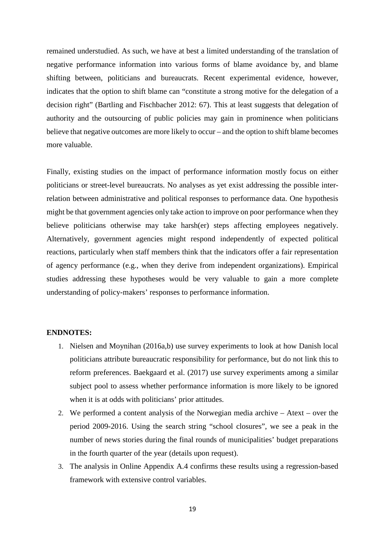remained understudied. As such, we have at best a limited understanding of the translation of negative performance information into various forms of blame avoidance by, and blame shifting between, politicians and bureaucrats. Recent experimental evidence, however, indicates that the option to shift blame can "constitute a strong motive for the delegation of a decision right" (Bartling and Fischbacher 2012: 67). This at least suggests that delegation of authority and the outsourcing of public policies may gain in prominence when politicians believe that negative outcomes are more likely to occur – and the option to shift blame becomes more valuable.

Finally, existing studies on the impact of performance information mostly focus on either politicians or street-level bureaucrats. No analyses as yet exist addressing the possible interrelation between administrative and political responses to performance data. One hypothesis might be that government agencies only take action to improve on poor performance when they believe politicians otherwise may take harsh(er) steps affecting employees negatively. Alternatively, government agencies might respond independently of expected political reactions, particularly when staff members think that the indicators offer a fair representation of agency performance (e.g., when they derive from independent organizations). Empirical studies addressing these hypotheses would be very valuable to gain a more complete understanding of policy-makers' responses to performance information.

#### **ENDNOTES:**

- 1. Nielsen and Moynihan (2016a,b) use survey experiments to look at how Danish local politicians attribute bureaucratic responsibility for performance, but do not link this to reform preferences. Baekgaard et al. (2017) use survey experiments among a similar subject pool to assess whether performance information is more likely to be ignored when it is at odds with politicians' prior attitudes.
- 2. We performed a content analysis of the Norwegian media archive Atext over the period 2009-2016. Using the search string "school closures", we see a peak in the number of news stories during the final rounds of municipalities' budget preparations in the fourth quarter of the year (details upon request).
- 3. The analysis in Online Appendix A.4 confirms these results using a regression-based framework with extensive control variables.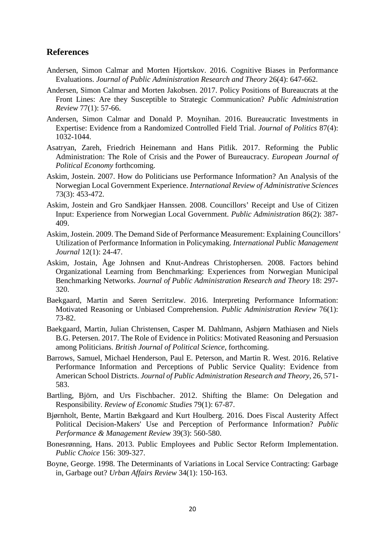## **References**

- Andersen, Simon Calmar and Morten Hjortskov. 2016. Cognitive Biases in Performance Evaluations. *Journal of Public Administration Research and Theory* 26(4): 647-662.
- Andersen, Simon Calmar and Morten Jakobsen. 2017. Policy Positions of Bureaucrats at the Front Lines: Are they Susceptible to Strategic Communication? *Public Administration Review* 77(1): 57-66.
- Andersen, Simon Calmar and Donald P. Moynihan. 2016. Bureaucratic Investments in Expertise: Evidence from a Randomized Controlled Field Trial. *Journal of Politics* 87(4): 1032-1044.
- Asatryan, Zareh, Friedrich Heinemann and Hans Pitlik. 2017. Reforming the Public Administration: The Role of Crisis and the Power of Bureaucracy. *European Journal of Political Economy* forthcoming.
- Askim, Jostein. 2007. How do Politicians use Performance Information? An Analysis of the Norwegian Local Government Experience. *International Review of Administrative Sciences* 73(3): 453-472.
- Askim, Jostein and Gro Sandkjaer Hanssen. 2008. Councillors' Receipt and Use of Citizen Input: Experience from Norwegian Local Government. *Public Administration* 86(2): 387- 409.
- Askim, Jostein. 2009. The Demand Side of Performance Measurement: Explaining Councillors' Utilization of Performance Information in Policymaking. *International Public Management Journal* 12(1): 24-47.
- Askim, Jostain, Åge Johnsen and Knut-Andreas Christophersen. 2008. Factors behind Organizational Learning from Benchmarking: Experiences from Norwegian Municipal Benchmarking Networks. *Journal of Public Administration Research and Theory* 18: 297- 320.
- Baekgaard, Martin and Søren Serritzlew. 2016. Interpreting Performance Information: Motivated Reasoning or Unbiased Comprehension. *Public Administration Review* 76(1): 73-82.
- Baekgaard, Martin, Julian Christensen, Casper M. Dahlmann, Asbjørn Mathiasen and Niels B.G. Petersen. 2017. The Role of Evidence in Politics: Motivated Reasoning and Persuasion among Politicians. *British Journal of Political Science*, forthcoming.
- Barrows, Samuel, Michael Henderson, Paul E. Peterson, and Martin R. West. 2016. Relative Performance Information and Perceptions of Public Service Quality: Evidence from American School Districts. *Journal of Public Administration Research and Theory*, 26, 571- 583.
- Bartling, Björn, and Urs Fischbacher. 2012. Shifting the Blame: On Delegation and Responsibility. *Review of Economic Studies* 79(1): 67-87.
- Bjørnholt, Bente, Martin Bækgaard and Kurt Houlberg. 2016. Does Fiscal Austerity Affect Political Decision-Makers' Use and Perception of Performance Information? *Public Performance & Management Review* 39(3): 560-580.
- Bonesrønning, Hans. 2013. Public Employees and Public Sector Reform Implementation. *Public Choice* 156: 309-327.
- Boyne, George. 1998. The Determinants of Variations in Local Service Contracting: Garbage in, Garbage out? *Urban Affairs Review* 34(1): 150-163.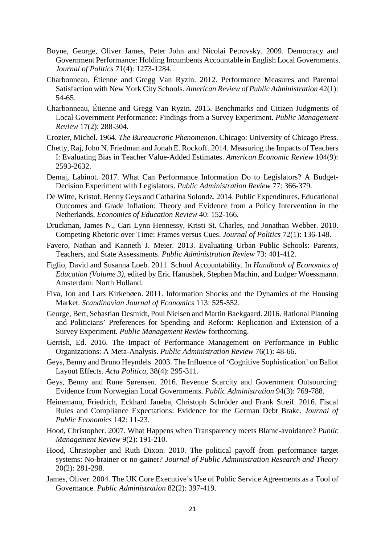- Boyne, George, Oliver James, Peter John and Nicolai Petrovsky. 2009. Democracy and Government Performance: Holding Incumbents Accountable in English Local Governments. *Journal of Politics* 71(4): 1273-1284.
- Charbonneau, Étienne and Gregg Van Ryzin. 2012. Performance Measures and Parental Satisfaction with New York City Schools. *American Review of Public Administration* 42(1): 54-65.
- Charbonneau, Étienne and Gregg Van Ryzin. 2015. Benchmarks and Citizen Judgments of Local Government Performance: Findings from a Survey Experiment. *Public Management Review* 17(2): 288-304.
- Crozier, Michel. 1964. *The Bureaucratic Phenomenon*. Chicago: University of Chicago Press.
- Chetty, Raj, John N. Friedman and Jonah E. Rockoff. 2014. Measuring the Impacts of Teachers I: Evaluating Bias in Teacher Value-Added Estimates. *American Economic Review* 104(9): 2593-2632.
- Demaj, Labinot. 2017. What Can Performance Information Do to Legislators? A Budget-Decision Experiment with Legislators. *Public Administration Review* 77: 366-379.
- De Witte, Kristof, Benny Geys and Catharina Solondz. 2014. Public Expenditures, Educational Outcomes and Grade Inflation: Theory and Evidence from a Policy Intervention in the Netherlands, *Economics of Education Review* 40: 152-166.
- Druckman, James N., Cari Lynn Hennessy, Kristi St. Charles, and Jonathan Webber. 2010. Competing Rhetoric over Time: Frames versus Cues. *Journal of Politics* 72(1): 136-148.
- Favero, Nathan and Kanneth J. Meier. 2013. Evaluating Urban Public Schools: Parents, Teachers, and State Assessments. *Public Administration Review* 73: 401-412.
- Figlio, David and Susanna Loeb. 2011. School Accountability. In *Handbook of Economics of Education (Volume 3)*, edited by Eric Hanushek, Stephen Machin, and Ludger Woessmann. Amsterdam: North Holland.
- Fiva, Jon and Lars Kirkebøen. 2011. Information Shocks and the Dynamics of the Housing Market. *Scandinavian Journal of Economics* 113: 525-552.
- George, Bert, Sebastian Desmidt, Poul Nielsen and Martin Baekgaard. 2016. Rational Planning and Politicians' Preferences for Spending and Reform: Replication and Extension of a Survey Experiment. *Public Management Review* forthcoming.
- Gerrish, Ed. 2016. The Impact of Performance Management on Performance in Public Organizations: A Meta-Analysis. *Public Administration Review* 76(1): 48-66.
- Geys, Benny and Bruno Heyndels. 2003. The Influence of 'Cognitive Sophistication' on Ballot Layout Effects. *Acta Politica*, 38(4): 295-311.
- Geys, Benny and Rune Sørensen. 2016. Revenue Scarcity and Government Outsourcing: Evidence from Norwegian Local Governments. *Public Administration* 94(3): 769-788.
- Heinemann, Friedrich, Eckhard Janeba, Christoph Schröder and Frank Streif. 2016. Fiscal Rules and Compliance Expectations: Evidence for the German Debt Brake. *Journal of Public Economics* 142: 11-23.
- Hood, Christopher. 2007. What Happens when Transparency meets Blame-avoidance? *Public Management Review* 9(2): 191-210.
- Hood, Christopher and Ruth Dixon. 2010. The political payoff from performance target systems: No-brainer or no-gainer? *Journal of Public Administration Research and Theory* 20(2): 281-298.
- James, Oliver. 2004. The UK Core Executive's Use of Public Service Agreements as a Tool of Governance. *Public Administration* 82(2): 397-419.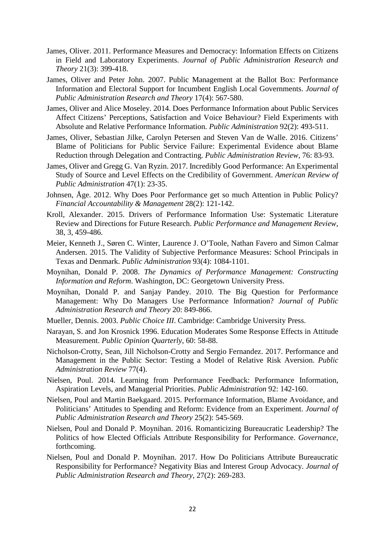- James, Oliver. 2011. Performance Measures and Democracy: Information Effects on Citizens in Field and Laboratory Experiments. *Journal of Public Administration Research and Theory* 21(3): 399-418.
- James, Oliver and Peter John. 2007. Public Management at the Ballot Box: Performance Information and Electoral Support for Incumbent English Local Governments. *Journal of Public Administration Research and Theory* 17(4): 567-580.
- James, Oliver and Alice Moseley. 2014. Does Performance Information about Public Services Affect Citizens' Perceptions, Satisfaction and Voice Behaviour? Field Experiments with Absolute and Relative Performance Information. *Public Administration* 92(2): 493-511.
- James, Oliver, Sebastian Jilke, Carolyn Petersen and Steven Van de Walle. 2016. Citizens' Blame of Politicians for Public Service Failure: Experimental Evidence about Blame Reduction through Delegation and Contracting. *Public Administration Review*, 76: 83-93.
- James, Oliver and Gregg G. Van Ryzin. 2017. Incredibly Good Performance: An Experimental Study of Source and Level Effects on the Credibility of Government. *American Review of Public Administration* 47(1): 23-35.
- Johnsen, Åge. 2012. Why Does Poor Performance get so much Attention in Public Policy? *Financial Accountability & Management* 28(2): 121-142.
- Kroll, Alexander. 2015. Drivers of Performance Information Use: Systematic Literature Review and Directions for Future Research. *Public Performance and Management Review*, 38, 3, 459-486.
- Meier, Kenneth J., Søren C. Winter, Laurence J. O'Toole, Nathan Favero and Simon Calmar Andersen. 2015. The Validity of Subjective Performance Measures: School Principals in Texas and Denmark. *Public Administration* 93(4): 1084-1101.
- Moynihan, Donald P. 2008. *The Dynamics of Performance Management: Constructing Information and Reform*. Washington, DC: Georgetown University Press.
- Moynihan, Donald P. and Sanjay Pandey. 2010. The Big Question for Performance Management: Why Do Managers Use Performance Information? *Journal of Public Administration Research and Theory* 20: 849-866.
- Mueller, Dennis. 2003. *Public Choice III*. Cambridge: Cambridge University Press.
- Narayan, S. and Jon Krosnick 1996. Education Moderates Some Response Effects in Attitude Measurement. *Public Opinion Quarterly*, 60: 58-88.
- Nicholson-Crotty, Sean, Jill Nicholson-Crotty and Sergio Fernandez. 2017. Performance and Management in the Public Sector: Testing a Model of Relative Risk Aversion. *Public Administration Review* 77(4).
- Nielsen, Poul. 2014. Learning from Performance Feedback: Performance Information, Aspiration Levels, and Managerial Priorities. *Public Administration* 92: 142-160.
- Nielsen, Poul and Martin Baekgaard. 2015. Performance Information, Blame Avoidance, and Politicians' Attitudes to Spending and Reform: Evidence from an Experiment. *Journal of Public Administration Research and Theory* 25(2): 545-569.
- Nielsen, Poul and Donald P. Moynihan. 2016. Romanticizing Bureaucratic Leadership? The Politics of how Elected Officials Attribute Responsibility for Performance. *Governance*, forthcoming.
- Nielsen, Poul and Donald P. Moynihan. 2017. How Do Politicians Attribute Bureaucratic Responsibility for Performance? Negativity Bias and Interest Group Advocacy. *Journal of Public Administration Research and Theory*, 27(2): 269-283.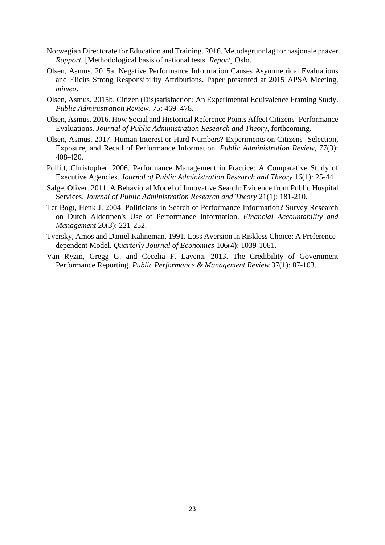- Norwegian Directorate for Education and Training. 2016. Metodegrunnlag for nasjonale prøver. *Rapport*. [Methodological basis of national tests. *Report*] Oslo.
- Olsen, Asmus. 2015a. Negative Performance Information Causes Asymmetrical Evaluations and Elicits Strong Responsibility Attributions. Paper presented at 2015 APSA Meeting, *mimeo*.
- Olsen, Asmus. 2015b. Citizen (Dis)satisfaction: An Experimental Equivalence Framing Study. *Public Administration Review*, 75: 469–478.
- Olsen, Asmus. 2016. How Social and Historical Reference Points Affect Citizens' Performance Evaluations. *Journal of Public Administration Research and Theory*, forthcoming.
- Olsen, Asmus. 2017. Human Interest or Hard Numbers? Experiments on Citizens' Selection, Exposure, and Recall of Performance Information. *Public Administration Review*, 77(3): 408-420.
- Pollitt, Christopher. 2006. Performance Management in Practice: A Comparative Study of Executive Agencies. *Journal of Public Administration Research and Theory* 16(1): 25-44
- Salge, Oliver. 2011. A Behavioral Model of Innovative Search: Evidence from Public Hospital Services. *Journal of Public Administration Research and Theory* 21(1): 181-210.
- Ter Bogt, Henk J. 2004. Politicians in Search of Performance Information? Survey Research on Dutch Aldermen's Use of Performance Information. *Financial Accountability and Management* 20(3): 221-252.
- Tversky, Amos and Daniel Kahneman. 1991. Loss Aversion in Riskless Choice: A Preferencedependent Model. *Quarterly Journal of Economics* 106(4): 1039-1061.
- Van Ryzin, Gregg G. and Cecelia F. Lavena. 2013. The Credibility of Government Performance Reporting. *Public Performance & Management Review* 37(1): 87-103.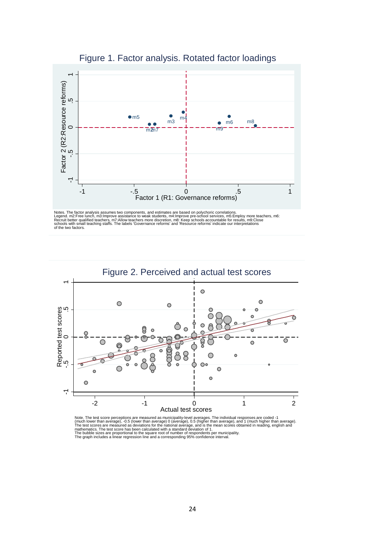

Figure 1. Factor analysis. Rotated factor loadings

Notes. The factor analysis assumes two components, and estimates are based on polychoric correlations.<br>Legend. m2:Free lunch, m3:Improve assistance to weak students, m4:Improve pre-school services, m5:Employ more teachers,



Note. The test score perceptions are measured as municipality-level averages. The individual responses are coded -1<br>(much lower than average), -0.5 (lower than average) 0 (average), 0.5 (higher than average), and 1 (much h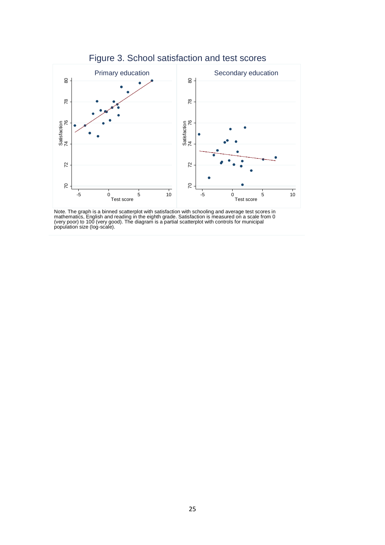

Note. The graph is a binned scatterplot with satisfaction with schooling and average test scores in<br>mathematics, English and reading in the eighth grade. Satisfaction is measured on a scale from 0<br>(very poor) to 100 (very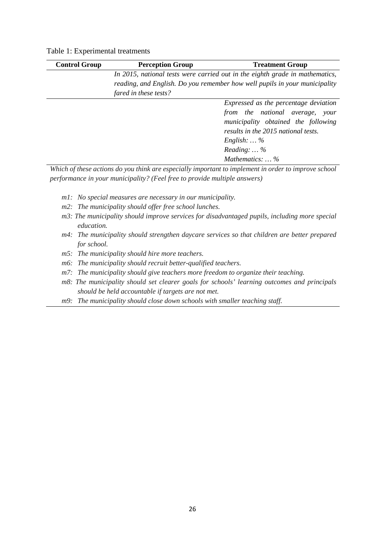| In 2015, national tests were carried out in the eighth grade in mathematics,<br>reading, and English. Do you remember how well pupils in your municipality<br>fared in these tests?<br>Expressed as the percentage deviation<br>from the national average, your |
|-----------------------------------------------------------------------------------------------------------------------------------------------------------------------------------------------------------------------------------------------------------------|
|                                                                                                                                                                                                                                                                 |
|                                                                                                                                                                                                                                                                 |
|                                                                                                                                                                                                                                                                 |
|                                                                                                                                                                                                                                                                 |
|                                                                                                                                                                                                                                                                 |
| municipality obtained the following                                                                                                                                                                                                                             |
| results in the 2015 national tests.                                                                                                                                                                                                                             |
| English: $\ldots$ %                                                                                                                                                                                                                                             |
| Reading: $\ldots$ %                                                                                                                                                                                                                                             |
| Mathematics:  %                                                                                                                                                                                                                                                 |

*Which of these actions do you think are especially important to implement in order to improve school performance in your municipality? (Feel free to provide multiple answers)*

- *m1: No special measures are necessary in our municipality.*
- *m2: The municipality should offer free school lunches.*
- *m3: The municipality should improve services for disadvantaged pupils, including more special education.*
- *m4: The municipality should strengthen daycare services so that children are better prepared for school.*
- *m5: The municipality should hire more teachers.*
- *m6: The municipality should recruit better-qualified teachers.*
- *m7: The municipality should give teachers more freedom to organize their teaching.*
- *m8: The municipality should set clearer goals for schools' learning outcomes and principals should be held accountable if targets are not met.*
- *m9: The municipality should close down schools with smaller teaching staff.*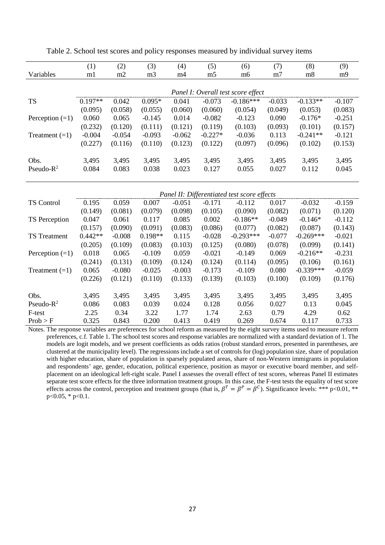|                     | (1)       | (2)      | (3)            | (4)      | (5)            | (6)                                         | (7)            | (8)         | (9)      |
|---------------------|-----------|----------|----------------|----------|----------------|---------------------------------------------|----------------|-------------|----------|
| Variables           | m1        | m2       | m <sub>3</sub> | m4       | m <sub>5</sub> | m <sub>6</sub>                              | m <sub>7</sub> | m8          | m9       |
|                     |           |          |                |          |                |                                             |                |             |          |
|                     |           |          |                |          |                | Panel I: Overall test score effect          |                |             |          |
| <b>TS</b>           | $0.197**$ | 0.042    | $0.095*$       | 0.041    | $-0.073$       | $-0.186***$                                 | $-0.033$       | $-0.133**$  | $-0.107$ |
|                     | (0.095)   | (0.058)  | (0.055)        | (0.060)  | (0.060)        | (0.054)                                     | (0.049)        | (0.053)     | (0.083)  |
| Perception $(=1)$   | 0.060     | 0.065    | $-0.145$       | 0.014    | $-0.082$       | $-0.123$                                    | 0.090          | $-0.176*$   | $-0.251$ |
|                     | (0.232)   | (0.120)  | (0.111)        | (0.121)  | (0.119)        | (0.103)                                     | (0.093)        | (0.101)     | (0.157)  |
| Treatment $(=1)$    | $-0.004$  | $-0.054$ | $-0.093$       | $-0.062$ | $-0.227*$      | $-0.036$                                    | 0.113          | $-0.241**$  | $-0.121$ |
|                     | (0.227)   | (0.116)  | (0.110)        | (0.123)  | (0.122)        | (0.097)                                     | (0.096)        | (0.102)     | (0.153)  |
|                     |           |          |                |          |                |                                             |                |             |          |
| Obs.                | 3,495     | 3,495    | 3,495          | 3,495    | 3,495          | 3,495                                       | 3,495          | 3,495       | 3,495    |
| Pseudo- $R^2$       | 0.084     | 0.083    | 0.038          | 0.023    | 0.127          | 0.055                                       | 0.027          | 0.112       | 0.045    |
|                     |           |          |                |          |                |                                             |                |             |          |
|                     |           |          |                |          |                | Panel II: Differentiated test score effects |                |             |          |
| <b>TS Control</b>   | 0.195     | 0.059    | 0.007          | $-0.051$ | $-0.171$       | $-0.112$                                    | 0.017          | $-0.032$    | $-0.159$ |
|                     | (0.149)   | (0.081)  | (0.079)        | (0.098)  | (0.105)        | (0.090)                                     | (0.082)        | (0.071)     | (0.120)  |
| TS Perception       | 0.047     | 0.061    | 0.117          | 0.085    | 0.002          | $-0.186**$                                  | $-0.049$       | $-0.146*$   | $-0.112$ |
|                     | (0.157)   | (0.090)  | (0.091)        | (0.083)  | (0.086)        | (0.077)                                     | (0.082)        | (0.087)     | (0.143)  |
| <b>TS</b> Treatment | $0.442**$ | $-0.008$ | $0.198**$      | 0.115    | $-0.028$       | $-0.293***$                                 | $-0.077$       | $-0.269***$ | $-0.021$ |
|                     | (0.205)   | (0.109)  | (0.083)        | (0.103)  | (0.125)        | (0.080)                                     | (0.078)        | (0.099)     | (0.141)  |
| Perception $(=1)$   | 0.018     | 0.065    | $-0.109$       | 0.059    | $-0.021$       | $-0.149$                                    | 0.069          | $-0.216**$  | $-0.231$ |
|                     | (0.241)   | (0.131)  | (0.109)        | (0.124)  | (0.124)        | (0.114)                                     | (0.095)        | (0.106)     | (0.161)  |
| Treatment $(=1)$    | 0.065     | $-0.080$ | $-0.025$       | $-0.003$ | $-0.173$       | $-0.109$                                    | 0.080          | $-0.339***$ | $-0.059$ |
|                     | (0.226)   | (0.121)  | (0.110)        | (0.133)  | (0.139)        | (0.103)                                     | (0.100)        | (0.109)     | (0.176)  |
|                     |           |          |                |          |                |                                             |                |             |          |
| Obs.                | 3,495     | 3,495    | 3,495          | 3,495    | 3,495          | 3,495                                       | 3,495          | 3,495       | 3,495    |
| Pseudo- $R^2$       | 0.086     | 0.083    | 0.039          | 0.024    | 0.128          | 0.056                                       | 0.027          | 0.13        | 0.045    |
| F-test              | 2.25      | 0.34     | 3.22           | 1.77     | 1.74           | 2.63                                        | 0.79           | 4.29        | 0.62     |
| Prob > F            | 0.325     | 0.843    | 0.200          | 0.413    | 0.419          | 0.269                                       | 0.674          | 0.117       | 0.733    |

Table 2. School test scores and policy responses measured by individual survey items

Notes. The response variables are preferences for school reform as measured by the eight survey items used to measure reform preferences, c.f. Table 1. The school test scores and response variables are normalized with a standard deviation of 1. The models are logit models, and we present coefficients as odds ratios (robust standard errors, presented in parentheses, are clustered at the municipality level). The regressions include a set of controls for (log) population size, share of population with higher education, share of population in sparsely populated areas, share of non-Western immigrants in population and respondents' age, gender, education, political experience, position as mayor or executive board member, and selfplacement on an ideological left-right scale. Panel I assesses the overall effect of test scores, whereas Panel II estimates separate test score effects for the three information treatment groups. In this case, the F-test tests the equality of test score effects across the control, perception and treatment groups (that is,  $\beta^T = \beta^P = \beta^C$ ). Significance levels: \*\*\* p<0.01, \*\*  $p<0.05$ , \*  $p<0.1$ .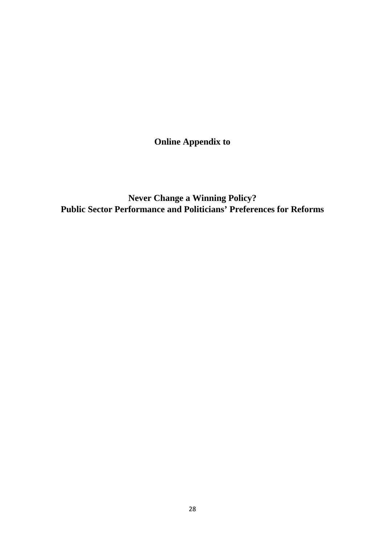**Online Appendix to** 

**Never Change a Winning Policy? Public Sector Performance and Politicians' Preferences for Reforms**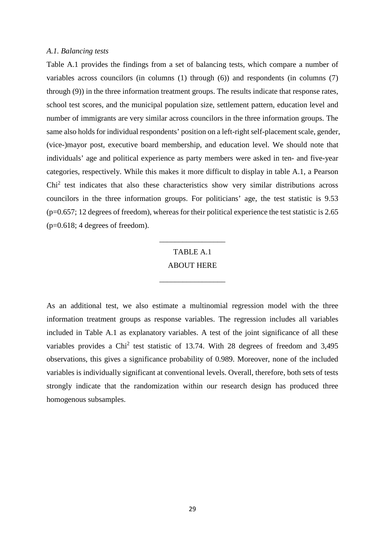#### *A.1. Balancing tests*

Table A.1 provides the findings from a set of balancing tests, which compare a number of variables across councilors (in columns (1) through (6)) and respondents (in columns (7) through (9)) in the three information treatment groups. The results indicate that response rates, school test scores, and the municipal population size, settlement pattern, education level and number of immigrants are very similar across councilors in the three information groups. The same also holds for individual respondents' position on a left-right self-placement scale, gender, (vice-)mayor post, executive board membership, and education level. We should note that individuals' age and political experience as party members were asked in ten- and five-year categories, respectively. While this makes it more difficult to display in table A.1, a Pearson Chi<sup>2</sup> test indicates that also these characteristics show very similar distributions across councilors in the three information groups. For politicians' age, the test statistic is 9.53  $(p=0.657; 12$  degrees of freedom), whereas for their political experience the test statistic is 2.65 (p=0.618; 4 degrees of freedom).

# TABLE A.1 ABOUT HERE

\_\_\_\_\_\_\_\_\_\_\_\_\_\_\_\_\_

\_\_\_\_\_\_\_\_\_\_\_\_\_\_\_\_\_

As an additional test, we also estimate a multinomial regression model with the three information treatment groups as response variables. The regression includes all variables included in Table A.1 as explanatory variables. A test of the joint significance of all these variables provides a Chi<sup>2</sup> test statistic of 13.74. With 28 degrees of freedom and 3,495 observations, this gives a significance probability of 0.989. Moreover, none of the included variables is individually significant at conventional levels. Overall, therefore, both sets of tests strongly indicate that the randomization within our research design has produced three homogenous subsamples.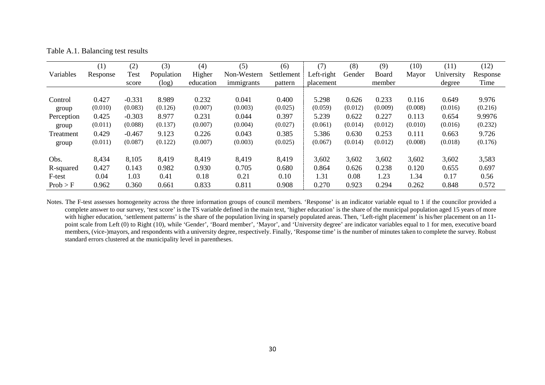Table A.1. Balancing test results

|            | (1)      | (2)      | (3)        | (4)       | (5)         | (6)        | (7)        | (8)     | (9)     | (10)    | (11)       | (12)     |
|------------|----------|----------|------------|-----------|-------------|------------|------------|---------|---------|---------|------------|----------|
| Variables  | Response | Test     | Population | Higher    | Non-Western | Settlement | Left-right | Gender  | Board   | Mayor   | University | Response |
|            |          | score    | (log)      | education | immigrants  | pattern    | placement  |         | member  |         | degree     | Time     |
|            |          |          |            |           |             |            |            |         |         |         |            |          |
| Control    | 0.427    | $-0.331$ | 8.989      | 0.232     | 0.041       | 0.400      | 5.298      | 0.626   | 0.233   | 0.116   | 0.649      | 9.976    |
| group      | (0.010)  | (0.083)  | (0.126)    | (0.007)   | (0.003)     | (0.025)    | (0.059)    | (0.012) | (0.009) | (0.008) | (0.016)    | (0.216)  |
| Perception | 0.425    | $-0.303$ | 8.977      | 0.231     | 0.044       | 0.397      | 5.239      | 0.622   | 0.227   | 0.113   | 0.654      | 9.9976   |
| group      | (0.011)  | (0.088)  | (0.137)    | (0.007)   | (0.004)     | (0.027)    | (0.061)    | (0.014) | (0.012) | (0.010) | (0.016)    | (0.232)  |
| Treatment  | 0.429    | $-0.467$ | 9.123      | 0.226     | 0.043       | 0.385      | 5.386      | 0.630   | 0.253   | 0.111   | 0.663      | 9.726    |
| group      | (0.011)  | (0.087)  | (0.122)    | (0.007)   | (0.003)     | (0.025)    | (0.067)    | (0.014) | (0.012) | (0.008) | (0.018)    | (0.176)  |
|            |          |          |            |           |             |            |            |         |         |         |            |          |
| Obs.       | 8,434    | 8,105    | 8,419      | 8,419     | 8,419       | 8,419      | 3,602      | 3,602   | 3,602   | 3,602   | 3,602      | 3,583    |
| R-squared  | 0.427    | 0.143    | 0.982      | 0.930     | 0.705       | 0.680      | 0.864      | 0.626   | 0.238   | 0.120   | 0.655      | 0.697    |
| F-test     | 0.04     | 1.03     | 0.41       | 0.18      | 0.21        | 0.10       | 1.31       | 0.08    | 1.23    | 1.34    | 0.17       | 0.56     |
| Prob > F   | 0.962    | 0.360    | 0.661      | 0.833     | 0.811       | 0.908      | 0.270      | 0.923   | 0.294   | 0.262   | 0.848      | 0.572    |

Notes. The F-test assesses homogeneity across the three information groups of council members. 'Response' is an indicator variable equal to 1 if the councilor provided a complete answer to our survey, 'test score' is the TS variable defined in the main text, 'higher education' is the share of the municipal population aged 15 years of more with higher education, 'settlement patterns' is the share of the population living in sparsely populated areas. Then, 'Left-right placement' is his/her placement on an 11point scale from Left (0) to Right (10), while 'Gender', 'Board member', 'Mayor', and 'University degree' are indicator variables equal to 1 for men, executive board members, (vice-)mayors, and respondents with a university degree, respectively. Finally, 'Response time' is the number of minutes taken to complete the survey. Robust standard errors clustered at the municipality level in parentheses.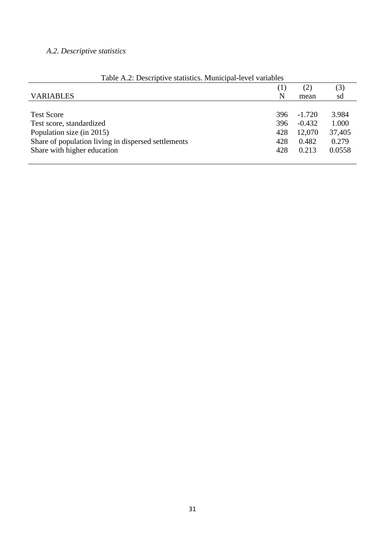# *A.2. Descriptive statistics*

|                                                     | $\left(1\right)$ | (2)      | (3)    |
|-----------------------------------------------------|------------------|----------|--------|
| <b>VARIABLES</b>                                    | N                | mean     | sd     |
|                                                     |                  |          |        |
| <b>Test Score</b>                                   | 396              | $-1.720$ | 3.984  |
| Test score, standardized                            | 396              | $-0.432$ | 1.000  |
| Population size (in 2015)                           | 428              | 12,070   | 37,405 |
| Share of population living in dispersed settlements | 428              | 0.482    | 0.279  |
| Share with higher education                         | 428              | 0.213    | 0.0558 |
|                                                     |                  |          |        |

|  | Table A.2: Descriptive statistics. Municipal-level variables |  |
|--|--------------------------------------------------------------|--|
|  |                                                              |  |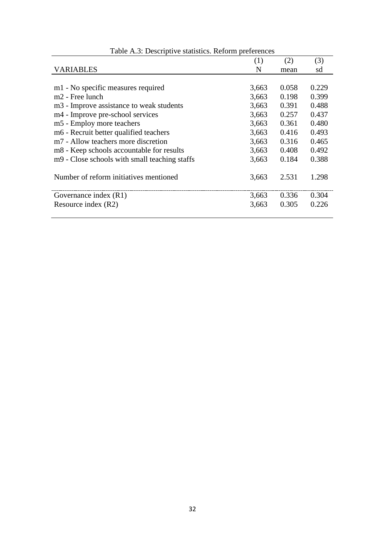|                                                 | (1)   | (2)   | (3)   |
|-------------------------------------------------|-------|-------|-------|
| <b>VARIABLES</b>                                | N     | mean  | sd    |
|                                                 |       |       |       |
| m1 - No specific measures required              | 3,663 | 0.058 | 0.229 |
| $m2$ - Free lunch                               | 3,663 | 0.198 | 0.399 |
| m3 - Improve assistance to weak students        | 3,663 | 0.391 | 0.488 |
| m4 - Improve pre-school services                | 3,663 | 0.257 | 0.437 |
| m5 - Employ more teachers                       | 3,663 | 0.361 | 0.480 |
| m6 - Recruit better qualified teachers          | 3,663 | 0.416 | 0.493 |
| m <sub>7</sub> - Allow teachers more discretion | 3,663 | 0.316 | 0.465 |
| m8 - Keep schools accountable for results       | 3,663 | 0.408 | 0.492 |
| m9 - Close schools with small teaching staffs   | 3,663 | 0.184 | 0.388 |
|                                                 |       |       |       |
| Number of reform initiatives mentioned          | 3,663 | 2.531 | 1.298 |
|                                                 |       |       |       |
| Governance index (R1)                           | 3,663 | 0.336 | 0.304 |
| Resource index (R2)                             | 3,663 | 0.305 | 0.226 |
|                                                 |       |       |       |

# Table A.3: Descriptive statistics. Reform preferences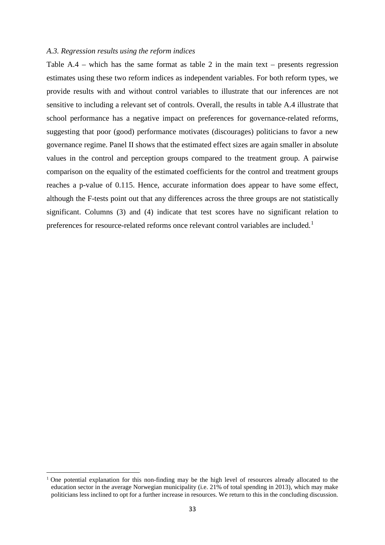#### *A.3. Regression results using the reform indices*

Table A.4 – which has the same format as table 2 in the main text – presents regression estimates using these two reform indices as independent variables. For both reform types, we provide results with and without control variables to illustrate that our inferences are not sensitive to including a relevant set of controls. Overall, the results in table A.4 illustrate that school performance has a negative impact on preferences for governance-related reforms, suggesting that poor (good) performance motivates (discourages) politicians to favor a new governance regime. Panel II shows that the estimated effect sizes are again smaller in absolute values in the control and perception groups compared to the treatment group. A pairwise comparison on the equality of the estimated coefficients for the control and treatment groups reaches a p-value of 0.115. Hence, accurate information does appear to have some effect, although the F-tests point out that any differences across the three groups are not statistically significant. Columns (3) and (4) indicate that test scores have no significant relation to preferences for resource-related reforms once relevant control variables are included.<sup>[1](#page-34-0)</sup>

**.** 

<span id="page-34-0"></span><sup>1</sup> One potential explanation for this non-finding may be the high level of resources already allocated to the education sector in the average Norwegian municipality (i.e. 21% of total spending in 2013), which may make politicians less inclined to opt for a further increase in resources. We return to this in the concluding discussion.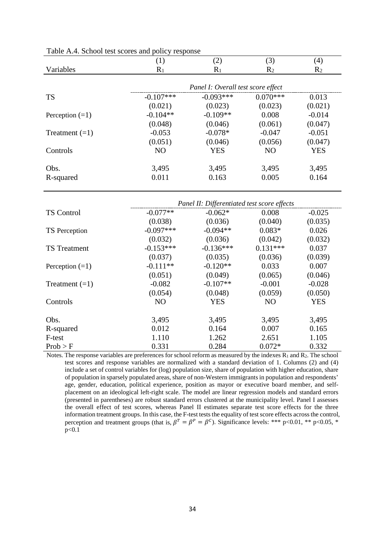|                   | (1)            | (2)                                | (3)            | $\left( 4\right)$ |
|-------------------|----------------|------------------------------------|----------------|-------------------|
| Variables         | $R_1$          | $R_1$                              | R <sub>2</sub> | R <sub>2</sub>    |
|                   |                |                                    |                |                   |
|                   |                | Panel I: Overall test score effect |                |                   |
| <b>TS</b>         | $-0.107***$    | $-0.093***$                        | $0.070***$     | 0.013             |
|                   | (0.021)        | (0.023)                            | (0.023)        | (0.021)           |
| Perception $(=1)$ | $-0.104**$     | $-0.109**$                         | 0.008          | $-0.014$          |
|                   | (0.048)        | (0.046)                            | (0.061)        | (0.047)           |
| Treatment $(=1)$  | $-0.053$       | $-0.078*$                          | $-0.047$       | $-0.051$          |
|                   | (0.051)        | (0.046)                            | (0.056)        | (0.047)           |
| Controls          | N <sub>O</sub> | <b>YES</b>                         | N <sub>O</sub> | <b>YES</b>        |
|                   |                |                                    |                |                   |
| Obs.              | 3,495          | 3,495                              | 3,495          | 3,495             |
| R-squared         | 0.011          | 0.163                              | 0.005          | 0.164             |
|                   |                |                                    |                |                   |

Table A.4. School test scores and policy response

|                      |                | Panel II: Differentiated test score effects |                |            |
|----------------------|----------------|---------------------------------------------|----------------|------------|
| <b>TS Control</b>    | $-0.077**$     | $-0.062*$                                   | 0.008          | $-0.025$   |
|                      | (0.038)        | (0.036)                                     | (0.040)        | (0.035)    |
| <b>TS</b> Perception | $-0.097***$    | $-0.094**$                                  | $0.083*$       | 0.026      |
|                      | (0.032)        | (0.036)                                     | (0.042)        | (0.032)    |
| <b>TS</b> Treatment  | $-0.153***$    | $-0.136***$                                 | $0.131***$     | 0.037      |
|                      | (0.037)        | (0.035)                                     | (0.036)        | (0.039)    |
| Perception $(=1)$    | $-0.111**$     | $-0.120**$                                  | 0.033          | 0.007      |
|                      | (0.051)        | (0.049)                                     | (0.065)        | (0.046)    |
| Treatment $(=1)$     | $-0.082$       | $-0.107**$                                  | $-0.001$       | $-0.028$   |
|                      | (0.054)        | (0.048)                                     | (0.059)        | (0.050)    |
| Controls             | N <sub>O</sub> | <b>YES</b>                                  | N <sub>O</sub> | <b>YES</b> |
| Obs.                 | 3,495          | 3,495                                       | 3,495          | 3,495      |
| R-squared            | 0.012          | 0.164                                       | 0.007          | 0.165      |
| F-test               | 1.110          | 1.262                                       | 2.651          | 1.105      |
| Prob > F             | 0.331          | 0.284                                       | $0.072*$       | 0.332      |

Notes. The response variables are preferences for school reform as measured by the indexes  $R_1$  and  $R_2$ . The school test scores and response variables are normalized with a standard deviation of 1. Columns (2) and (4) include a set of control variables for (log) population size, share of population with higher education, share of population in sparsely populated areas, share of non-Western immigrants in population and respondents' age, gender, education, political experience, position as mayor or executive board member, and selfplacement on an ideological left-right scale. The model are linear regression models and standard errors (presented in parentheses) are robust standard errors clustered at the municipality level. Panel I assesses the overall effect of test scores, whereas Panel II estimates separate test score effects for the three information treatment groups. In this case, the F-test tests the equality of test score effects across the control, perception and treatment groups (that is,  $\beta^T = \beta^P = \beta^C$ ). Significance levels: \*\*\* p<0.01, \*\* p<0.05, \*  $p < 0.1$